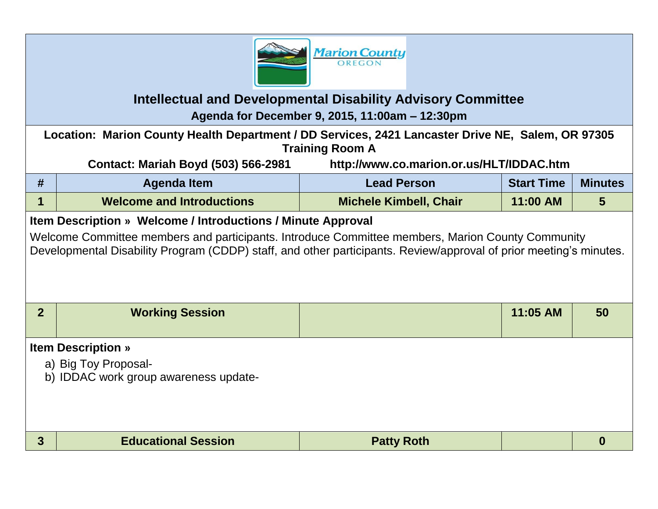

## **Intellectual and Developmental Disability Advisory Committee**

**Agenda for December 9, 2015, 11:00am – 12:30pm**

**Location: Marion County Health Department / DD Services, 2421 Lancaster Drive NE, Salem, OR 97305 Training Room A**

**Contact: Mariah Boyd (503) 566-2981 http://www.co.marion.or.us/HLT/IDDAC.htm**

| #                                                                                                                                                                                                                      | <b>Agenda Item</b>                                            | <b>Lead Person</b>            | <b>Start Time</b> | <b>Minutes</b> |  |  |  |  |
|------------------------------------------------------------------------------------------------------------------------------------------------------------------------------------------------------------------------|---------------------------------------------------------------|-------------------------------|-------------------|----------------|--|--|--|--|
| 1                                                                                                                                                                                                                      | <b>Welcome and Introductions</b>                              | <b>Michele Kimbell, Chair</b> | 11:00 AM          | 5              |  |  |  |  |
| Item Description » Welcome / Introductions / Minute Approval                                                                                                                                                           |                                                               |                               |                   |                |  |  |  |  |
| Welcome Committee members and participants. Introduce Committee members, Marion County Community<br>Developmental Disability Program (CDDP) staff, and other participants. Review/approval of prior meeting's minutes. |                                                               |                               |                   |                |  |  |  |  |
| $\overline{2}$                                                                                                                                                                                                         | <b>Working Session</b>                                        |                               | 11:05 AM          | 50             |  |  |  |  |
| <b>Item Description »</b>                                                                                                                                                                                              |                                                               |                               |                   |                |  |  |  |  |
|                                                                                                                                                                                                                        | a) Big Toy Proposal-<br>b) IDDAC work group awareness update- |                               |                   |                |  |  |  |  |
| 3                                                                                                                                                                                                                      | <b>Educational Session</b>                                    | <b>Patty Roth</b>             |                   | 0              |  |  |  |  |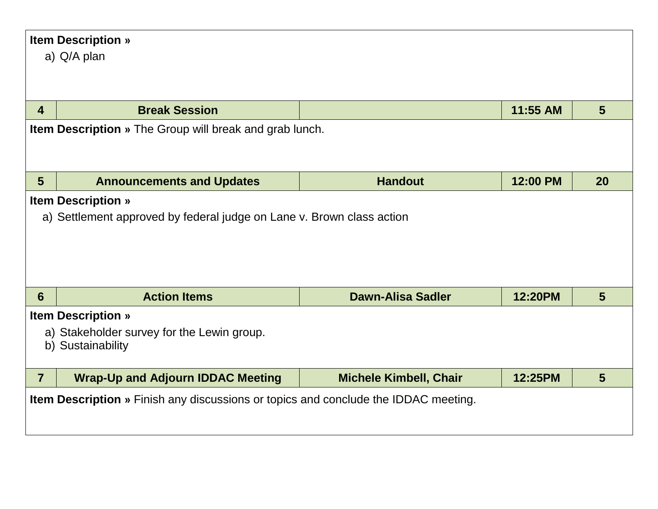| <b>Item Description »</b>                                                                  |                                                                       |                               |          |    |  |  |  |
|--------------------------------------------------------------------------------------------|-----------------------------------------------------------------------|-------------------------------|----------|----|--|--|--|
|                                                                                            | a) Q/A plan                                                           |                               |          |    |  |  |  |
|                                                                                            |                                                                       |                               |          |    |  |  |  |
|                                                                                            |                                                                       |                               |          |    |  |  |  |
| $\overline{4}$                                                                             | <b>Break Session</b>                                                  |                               | 11:55 AM | 5  |  |  |  |
|                                                                                            | <b>Item Description</b> » The Group will break and grab lunch.        |                               |          |    |  |  |  |
|                                                                                            |                                                                       |                               |          |    |  |  |  |
|                                                                                            |                                                                       |                               |          |    |  |  |  |
| $5\phantom{1}$                                                                             | <b>Announcements and Updates</b>                                      | <b>Handout</b>                | 12:00 PM | 20 |  |  |  |
|                                                                                            | <b>Item Description »</b>                                             |                               |          |    |  |  |  |
|                                                                                            | a) Settlement approved by federal judge on Lane v. Brown class action |                               |          |    |  |  |  |
|                                                                                            |                                                                       |                               |          |    |  |  |  |
|                                                                                            |                                                                       |                               |          |    |  |  |  |
|                                                                                            |                                                                       |                               |          |    |  |  |  |
|                                                                                            |                                                                       |                               |          |    |  |  |  |
| $6\phantom{1}6$                                                                            | <b>Action Items</b>                                                   | <b>Dawn-Alisa Sadler</b>      | 12:20PM  | 5  |  |  |  |
| <b>Item Description »</b>                                                                  |                                                                       |                               |          |    |  |  |  |
| a) Stakeholder survey for the Lewin group.                                                 |                                                                       |                               |          |    |  |  |  |
|                                                                                            | b) Sustainability                                                     |                               |          |    |  |  |  |
|                                                                                            |                                                                       |                               |          |    |  |  |  |
| $\overline{7}$                                                                             | <b>Wrap-Up and Adjourn IDDAC Meeting</b>                              | <b>Michele Kimbell, Chair</b> | 12:25PM  | 5  |  |  |  |
| <b>Item Description</b> » Finish any discussions or topics and conclude the IDDAC meeting. |                                                                       |                               |          |    |  |  |  |
|                                                                                            |                                                                       |                               |          |    |  |  |  |
|                                                                                            |                                                                       |                               |          |    |  |  |  |